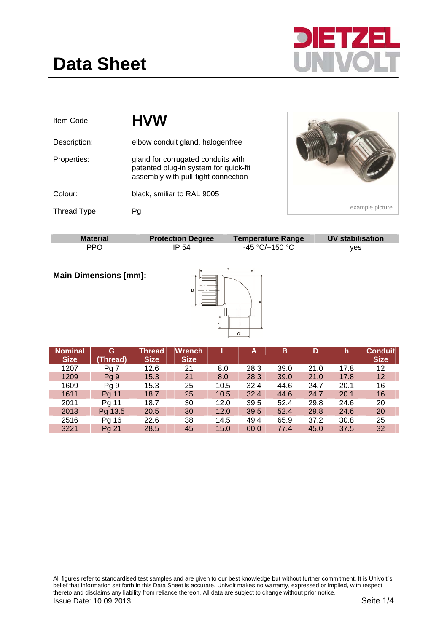

| Item Code:         | <b>HVW</b>                                                                                                         |                          |                         |
|--------------------|--------------------------------------------------------------------------------------------------------------------|--------------------------|-------------------------|
| Description:       | elbow conduit gland, halogenfree                                                                                   |                          |                         |
| Properties:        | gland for corrugated conduits with<br>patented plug-in system for quick-fit<br>assembly with pull-tight connection |                          |                         |
| Colour:            | black, smiliar to RAL 9005                                                                                         |                          |                         |
| <b>Thread Type</b> | Pg                                                                                                                 |                          | example picture         |
|                    |                                                                                                                    |                          |                         |
| <b>Material</b>    | <b>Protection Degree</b>                                                                                           | <b>Temperature Range</b> | <b>UV stabilisation</b> |
| <b>PPO</b>         | IP 54                                                                                                              | -45 °C/+150 °C           | yes                     |

**Main Dimensions [mm]:** 



| <b>Nominal</b><br><b>Size</b> | G<br>(Thread)   | Thread<br><b>Size</b> | <b>Wrench</b><br><b>Size</b> |      | Α    | в    | D    | 'n,  | Conduit<br><b>Size</b> |
|-------------------------------|-----------------|-----------------------|------------------------------|------|------|------|------|------|------------------------|
| 1207                          | Pg <sub>7</sub> | 12.6                  | 21                           | 8.0  | 28.3 | 39.0 | 21.0 | 17.8 | 12                     |
| 1209                          | Pg 9            | 15.3                  | 21                           | 8.0  | 28.3 | 39.0 | 21.0 | 17.8 | 12 <sup>2</sup>        |
| 1609                          | Pg 9            | 15.3                  | 25                           | 10.5 | 32.4 | 44.6 | 24.7 | 20.1 | 16                     |
| 1611                          | Pg 11           | 18.7                  | 25                           | 10.5 | 32.4 | 44.6 | 24.7 | 20.1 | 16                     |
| 2011                          | Pg 11           | 18.7                  | 30                           | 12.0 | 39.5 | 52.4 | 29.8 | 24.6 | 20                     |
| 2013                          | Pg 13.5         | 20.5                  | 30                           | 12.0 | 39.5 | 52.4 | 29.8 | 24.6 | 20                     |
| 2516                          | Pg 16           | 22.6                  | 38                           | 14.5 | 49.4 | 65.9 | 37.2 | 30.8 | 25                     |
| 3221                          | Pg 21           | 28.5                  | 45                           | 15.0 | 60.0 | 77.4 | 45.0 | 37.5 | 32                     |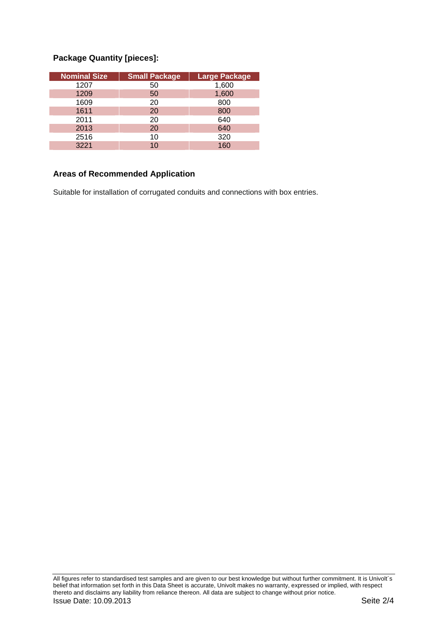## **Package Quantity [pieces]:**

| <b>Nominal Size</b> | <b>Small Package</b> | <b>Large Package</b> |
|---------------------|----------------------|----------------------|
| 1207                | 50                   | 1,600                |
| 1209                | 50                   | 1,600                |
| 1609                | 20                   | 800                  |
| 1611                | 20                   | 800                  |
| 2011                | 20                   | 640                  |
| 2013                | 20                   | 640                  |
| 2516                | 10                   | 320                  |
| 3221                | 10                   | 160                  |

## **Areas of Recommended Application**

Suitable for installation of corrugated conduits and connections with box entries.

All figures refer to standardised test samples and are given to our best knowledge but without further commitment. It is Univolt´s belief that information set forth in this Data Sheet is accurate, Univolt makes no warranty, expressed or implied, with respect thereto and disclaims any liability from reliance thereon. All data are subject to change without prior notice. **Issue Date: 10.09.2013** Seite 2/4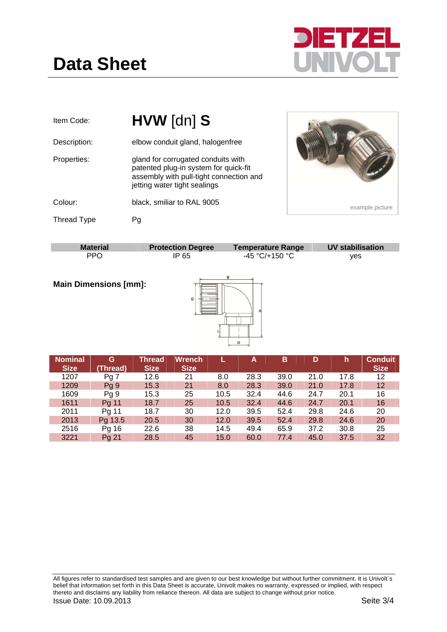



| Item Code:         | HVW [dn] S                                                                                                                                             |                          |                         |
|--------------------|--------------------------------------------------------------------------------------------------------------------------------------------------------|--------------------------|-------------------------|
| Description:       | elbow conduit gland, halogenfree                                                                                                                       |                          |                         |
| Properties:        | gland for corrugated conduits with<br>patented plug-in system for quick-fit<br>assembly with pull-tight connection and<br>jetting water tight sealings |                          |                         |
| Colour:            | black, smiliar to RAL 9005                                                                                                                             |                          | example picture         |
| <b>Thread Type</b> | Pg                                                                                                                                                     |                          |                         |
|                    |                                                                                                                                                        |                          |                         |
| <b>Material</b>    | <b>Protection Degree</b>                                                                                                                               | <b>Temperature Range</b> | <b>UV stabilisation</b> |

| <b>Material</b>              | <b>Protection Degree</b> | <b>Temperature Range</b> | <b>UV stabilisation</b> |
|------------------------------|--------------------------|--------------------------|-------------------------|
| <b>PPO</b>                   | IP 65                    | -45 °C/+150 °C           | ves                     |
| <b>Main Dimensions [mm]:</b> | D                        | в                        |                         |

| <b>Nominal</b><br><b>Size</b> | G<br>(Thread) | <b>Thread</b><br><b>Size</b> | <b>Wrench</b><br><b>Size</b> |      | A    | B    | D    | h    | <b>Conduit</b><br><b>Size</b> |
|-------------------------------|---------------|------------------------------|------------------------------|------|------|------|------|------|-------------------------------|
| 1207                          | Pg 7          | 12.6                         | 21                           | 8.0  | 28.3 | 39.0 | 21.0 | 17.8 | 12                            |
| 1209                          | Pg9           | 15.3                         | 21                           | 8.0  | 28.3 | 39.0 | 21.0 | 17.8 | 12                            |
| 1609                          | Pg 9          | 15.3                         | 25                           | 10.5 | 32.4 | 44.6 | 24.7 | 20.1 | 16                            |
| 1611                          | Pg 11         | 18.7                         | 25                           | 10.5 | 32.4 | 44.6 | 24.7 | 20.1 | 16                            |
| 2011                          | Pg 11         | 18.7                         | 30                           | 12.0 | 39.5 | 52.4 | 29.8 | 24.6 | 20                            |
| 2013                          | Pg 13.5       | 20.5                         | 30                           | 12.0 | 39.5 | 52.4 | 29.8 | 24.6 | 20                            |
| 2516                          | Pg 16         | 22.6                         | 38                           | 14.5 | 49.4 | 65.9 | 37.2 | 30.8 | 25                            |
| 3221                          | Pg 21         | 28.5                         | 45                           | 15.0 | 60.0 | 77.4 | 45.0 | 37.5 | 32                            |

All figures refer to standardised test samples and are given to our best knowledge but without further commitment. It is Univolt´s belief that information set forth in this Data Sheet is accurate, Univolt makes no warranty, expressed or implied, with respect thereto and disclaims any liability from reliance thereon. All data are subject to change without prior notice. **Issue Date: 10.09.2013** Seite 3/4